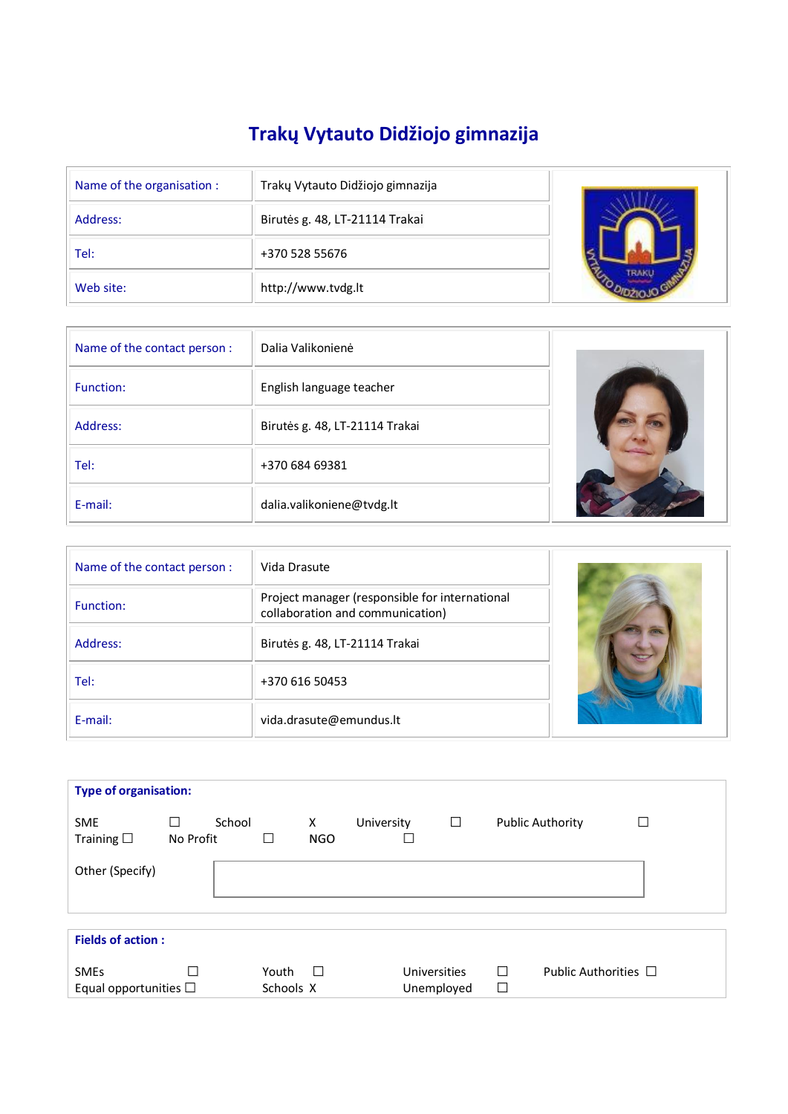# **Trakų Vytauto Didžiojo gimnazija**

| Name of the organisation : | Trakų Vytauto Didžiojo gimnazija |  |
|----------------------------|----------------------------------|--|
| Address:                   | Birutės g. 48, LT-21114 Trakai   |  |
| Tel:                       | +370 528 55676                   |  |
| Web site:                  | http://www.tvdg.lt               |  |

| Name of the contact person : | Dalia Valikonienė              |  |
|------------------------------|--------------------------------|--|
| <b>Function:</b>             | English language teacher       |  |
| Address:                     | Birutės g. 48, LT-21114 Trakai |  |
| Tel:                         | +370 684 69381                 |  |
| E-mail:                      | dalia.valikoniene@tvdg.lt      |  |

| Name of the contact person : | Vida Drasute                                                                       |  |
|------------------------------|------------------------------------------------------------------------------------|--|
| Function:                    | Project manager (responsible for international<br>collaboration and communication) |  |
| Address:                     | Birutės g. 48, LT-21114 Trakai                                                     |  |
| Tel:                         | +370 616 50453                                                                     |  |
| E-mail:                      | vida.drasute@emundus.lt                                                            |  |

| <b>Type of organisation:</b>                 |                |        |                    |                 |            |                            |             |                           |   |
|----------------------------------------------|----------------|--------|--------------------|-----------------|------------|----------------------------|-------------|---------------------------|---|
| <b>SME</b><br>Training $\square$             | П<br>No Profit | School | Ш                  | X<br><b>NGO</b> | University | □                          |             | <b>Public Authority</b>   | П |
| Other (Specify)                              |                |        |                    |                 |            |                            |             |                           |   |
| <b>Fields of action:</b>                     |                |        |                    |                 |            |                            |             |                           |   |
| <b>SMEs</b><br>Equal opportunities $\square$ |                |        | Youth<br>Schools X | $\Box$          |            | Universities<br>Unemployed | П<br>$\Box$ | Public Authorities $\Box$ |   |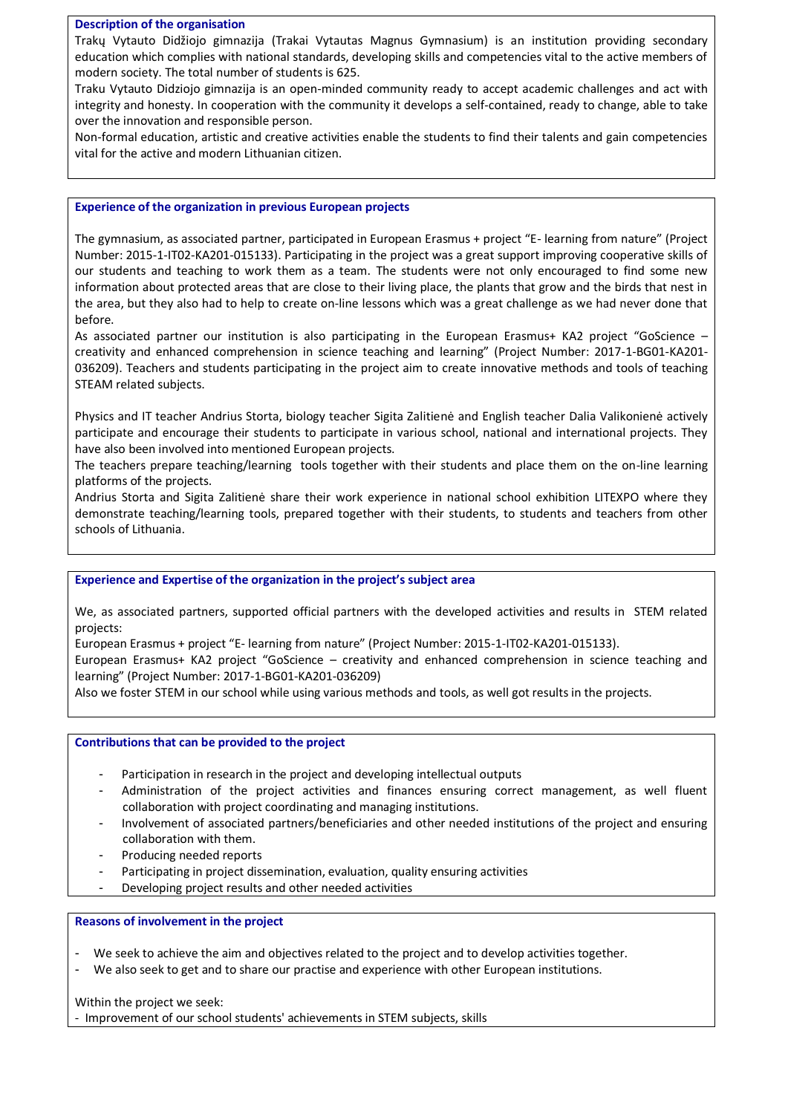## **Description of the organisation**

Trakų Vytauto Didžiojo gimnazija (Trakai Vytautas Magnus Gymnasium) is an institution providing secondary education which complies with national standards, developing skills and competencies vital to the active members of modern society. The total number of students is 625.

Traku Vytauto Didziojo gimnazija is an open-minded community ready to accept academic challenges and act with integrity and honesty. In cooperation with the community it develops a self-contained, ready to change, able to take over the innovation and responsible person.

Non-formal education, artistic and creative activities enable the students to find their talents and gain competencies vital for the active and modern Lithuanian citizen.

### **Experience of the organization in previous European projects**

The gymnasium, as associated partner, participated in European Erasmus + project "E- learning from nature" (Project Number: 2015-1-IT02-KA201-015133). Participating in the project was a great support improving cooperative skills of our students and teaching to work them as a team. The students were not only encouraged to find some new information about protected areas that are close to their living place, the plants that grow and the birds that nest in the area, but they also had to help to create on-line lessons which was a great challenge as we had never done that before.

As associated partner our institution is also participating in the European Erasmus+ KA2 project "GoScience creativity and enhanced comprehension in science teaching and learning" (Project Number: 2017-1-BG01-KA201- 036209). Teachers and students participating in the project aim to create innovative methods and tools of teaching STEAM related subjects.

Physics and IT teacher Andrius Storta, biology teacher Sigita Zalitienė and English teacher Dalia Valikonienė actively participate and encourage their students to participate in various school, national and international projects. They have also been involved into mentioned European projects.

The teachers prepare teaching/learning tools together with their students and place them on the on-line learning platforms of the projects.

Andrius Storta and Sigita Zalitienė share their work experience in national school exhibition LITEXPO where they demonstrate teaching/learning tools, prepared together with their students, to students and teachers from other schools of Lithuania.

## **Experience and Expertise of the organization in the project's subject area**

We, as associated partners, supported official partners with the developed activities and results in STEM related projects:

European Erasmus + project "E- learning from nature" (Project Number: 2015-1-IT02-KA201-015133).

European Erasmus+ KA2 project "GoScience – creativity and enhanced comprehension in science teaching and learning" (Project Number: 2017-1-BG01-KA201-036209)

Also we foster STEM in our school while using various methods and tools, as well got results in the projects.

### **Contributions that can be provided to the project**

- Participation in research in the project and developing intellectual outputs
- Administration of the project activities and finances ensuring correct management, as well fluent collaboration with project coordinating and managing institutions.
- Involvement of associated partners/beneficiaries and other needed institutions of the project and ensuring collaboration with them.
- Producing needed reports
- Participating in project dissemination, evaluation, quality ensuring activities
- Developing project results and other needed activities

### **Reasons of involvement in the project**

- We seek to achieve the aim and objectives related to the project and to develop activities together.
- We also seek to get and to share our practise and experience with other European institutions.

Within the project we seek: - Improvement of our school students' achievements in STEM subjects, skills